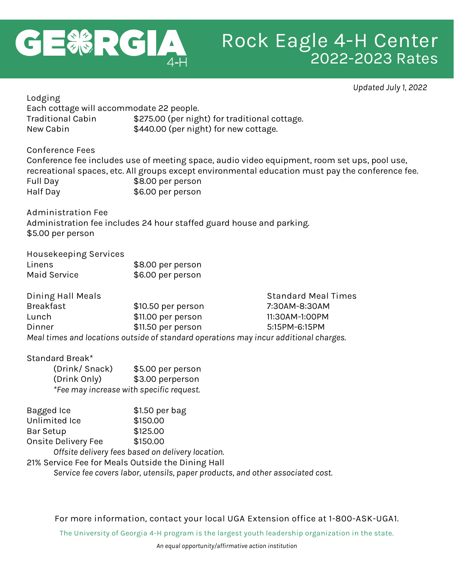

**Lodging**

# **Rock Eagle 4-H Center** 2022-2023 Rates

*Updated July 1, 2022*

| Each cottage will accommodate 22 people.          |                                                                                       |                                                                                                  |  |
|---------------------------------------------------|---------------------------------------------------------------------------------------|--------------------------------------------------------------------------------------------------|--|
| <b>Traditional Cabin</b>                          | \$275.00 (per night) for traditional cottage.                                         |                                                                                                  |  |
| New Cabin                                         | \$440.00 (per night) for new cottage.                                                 |                                                                                                  |  |
| <b>Conference Fees</b>                            |                                                                                       |                                                                                                  |  |
|                                                   |                                                                                       | Conference fee includes use of meeting space, audio video equipment, room set ups, pool use,     |  |
|                                                   |                                                                                       | recreational spaces, etc. All groups except environmental education must pay the conference fee. |  |
| Full Day                                          | \$8.00 per person                                                                     |                                                                                                  |  |
| Half Day                                          | \$6.00 per person                                                                     |                                                                                                  |  |
| <b>Administration Fee</b>                         |                                                                                       |                                                                                                  |  |
|                                                   | Administration fee includes 24 hour staffed guard house and parking.                  |                                                                                                  |  |
| \$5.00 per person                                 |                                                                                       |                                                                                                  |  |
| Housekeeping Services                             |                                                                                       |                                                                                                  |  |
| Linens                                            | \$8.00 per person                                                                     |                                                                                                  |  |
| <b>Maid Service</b>                               | \$6.00 per person                                                                     |                                                                                                  |  |
| Dining Hall Meals                                 |                                                                                       | <b>Standard Meal Times</b>                                                                       |  |
| <b>Breakfast</b>                                  | \$10.50 per person                                                                    | 7:30AM-8:30AM                                                                                    |  |
| Lunch                                             | \$11.00 per person                                                                    | 11:30AM-1:00PM                                                                                   |  |
| Dinner                                            | \$11.50 per person                                                                    | 5:15PM-6:15PM                                                                                    |  |
|                                                   | Meal times and locations outside of standard operations may incur additional charges. |                                                                                                  |  |
| Standard Break*                                   |                                                                                       |                                                                                                  |  |
| (Drink/Snack)                                     | \$5.00 per person                                                                     |                                                                                                  |  |
| (Drink Only)                                      | \$3.00 perperson                                                                      |                                                                                                  |  |
| *Fee may increase with specific request.          |                                                                                       |                                                                                                  |  |
| <b>Bagged Ice</b>                                 | \$1.50 per bag                                                                        |                                                                                                  |  |
| Unlimited Ice                                     | \$150.00                                                                              |                                                                                                  |  |
| <b>Bar Setup</b>                                  | \$125.00                                                                              |                                                                                                  |  |
| Onsite Delivery Fee                               | \$150.00                                                                              |                                                                                                  |  |
|                                                   | Offsite delivery fees based on delivery location.                                     |                                                                                                  |  |
| 21% Service Fee for Meals Outside the Dining Hall |                                                                                       |                                                                                                  |  |
|                                                   | Service fee covers labor, utensils, paper products, and other associated cost.        |                                                                                                  |  |
|                                                   |                                                                                       |                                                                                                  |  |

**For more information, contact your local UGA Extension office at 1-800-ASK-UGA1.**

**The University of Georgia 4-H program is the largest youth leadership organization in the state.**

*An equal opportunity/affirmative action institution*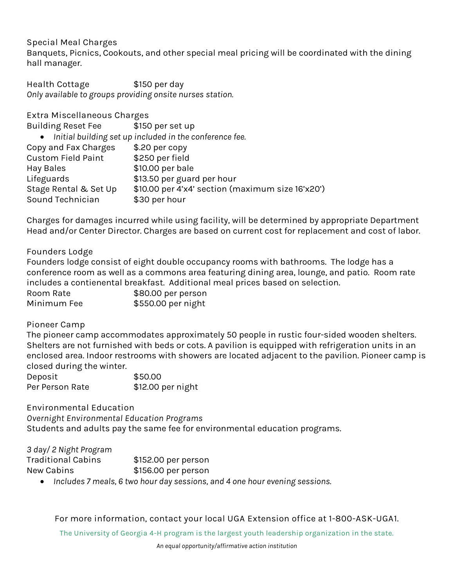### **Special Meal Charges**

Banquets, Picnics, Cookouts, and other special meal pricing will be coordinated with the dining hall manager.

**Health Cottage**  $$150$  **per day** *Only available to groups providing onsite nurses station.*

**Extra Miscellaneous Charges**

| <b>Building Reset Fee</b> | \$150 per set up                                          |
|---------------------------|-----------------------------------------------------------|
|                           |                                                           |
|                           | • Initial building set up included in the conference fee. |
| Copy and Fax Charges      | \$.20 per copy                                            |
| <b>Custom Field Paint</b> | \$250 per field                                           |
| Hay Bales                 | \$10.00 per bale                                          |
| Lifeguards                | \$13.50 per guard per hour                                |
| Stage Rental & Set Up     | \$10.00 per 4'x4' section (maximum size 16'x20')          |
| Sound Technician          | \$30 per hour                                             |
|                           |                                                           |

Charges for damages incurred while using facility, will be determined by appropriate Department Head and/or Center Director. Charges are based on current cost for replacement and cost of labor.

**Founders Lodge**

Founders lodge consist of eight double occupancy rooms with bathrooms. The lodge has a conference room as well as a commons area featuring dining area, lounge, and patio. Room rate includes a contienental breakfast. Additional meal prices based on selection.

| Room Rate   | \$80.00 per person |
|-------------|--------------------|
| Minimum Fee | \$550.00 per night |

### **Pioneer Camp**

The pioneer camp accommodates approximately 50 people in rustic four-sided wooden shelters. Shelters are not furnished with beds or cots. A pavilion is equipped with refrigeration units in an enclosed area. Indoor restrooms with showers are located adjacent to the pavilion. Pioneer camp is closed during the winter.

| Deposit         | \$50.00           |
|-----------------|-------------------|
| Per Person Rate | \$12.00 per night |

**Environmental Education** *Overnight Environmental Education Programs*  Students and adults pay the same fee for environmental education programs.

*3 day/ 2 Night Program*

| $\sim$ $\sim$ $\sim$ $\sim$ $\sim$ $\sim$<br>Traditional Cabins | \$152.00 per person |
|-----------------------------------------------------------------|---------------------|
| New Cabins                                                      | \$156.00 per person |

*Includes 7 meals, 6 two hour day sessions, and 4 one hour evening sessions.*

**For more information, contact your local UGA Extension office at 1-800-ASK-UGA1.**

**The University of Georgia 4-H program is the largest youth leadership organization in the state.**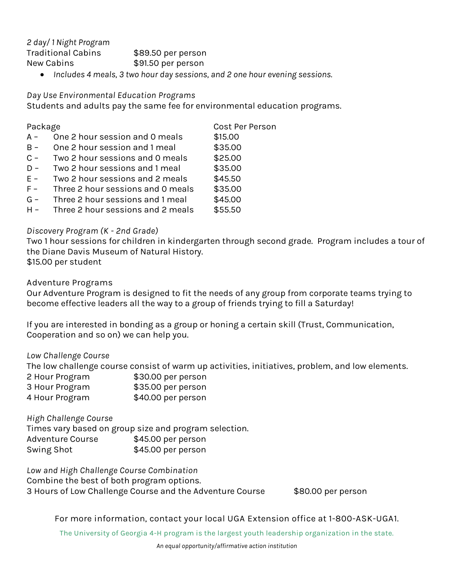*2 day/ 1 Night Program* Traditional Cabins \$89.50 per person New Cabins \$91.50 per person

*Includes 4 meals, 3 two hour day sessions, and 2 one hour evening sessions.*

*Day Use Environmental Education Programs*

Students and adults pay the same fee for environmental education programs.

| Package |                                   | Cost Per Person |
|---------|-----------------------------------|-----------------|
| $A -$   | One 2 hour session and 0 meals    | \$15.00         |
| $B -$   | One 2 hour session and 1 meal     | \$35.00         |
| $C -$   | Two 2 hour sessions and 0 meals   | \$25.00         |
| $D -$   | Two 2 hour sessions and 1 meal    | \$35.00         |
| $E -$   | Two 2 hour sessions and 2 meals   | \$45.50         |
| $F -$   | Three 2 hour sessions and 0 meals | \$35.00         |
| $G -$   | Three 2 hour sessions and 1 meal  | \$45.00         |
| $H -$   | Three 2 hour sessions and 2 meals | \$55.50         |

#### *Discovery Program (K - 2nd Grade)*

Two 1 hour sessions for children in kindergarten through second grade. Program includes a tour of the Diane Davis Museum of Natural History. \$15.00 per student

**Adventure Programs**

Our Adventure Program is designed to fit the needs of any group from corporate teams trying to become effective leaders all the way to a group of friends trying to fill a Saturday!

If you are interested in bonding as a group or honing a certain skill (Trust, Communication, Cooperation and so on) we can help you.

*Low Challenge Course*

The low challenge course consist of warm up activities, initiatives, problem, and low elements.

| 2 Hour Program | \$30.00 per person |
|----------------|--------------------|
| 3 Hour Program | \$35.00 per person |
| 4 Hour Program | \$40.00 per person |

*High Challenge Course*

Times vary based on group size and program selection. Adventure Course \$45.00 per person Swing Shot \$45.00 per person

*Low and High Challenge Course Combination* Combine the best of both program options. 3 Hours of Low Challenge Course and the Adventure Course \$80.00 per person

**For more information, contact your local UGA Extension office at 1-800-ASK-UGA1.**

**The University of Georgia 4-H program is the largest youth leadership organization in the state.**

*An equal opportunity/affirmative action institution*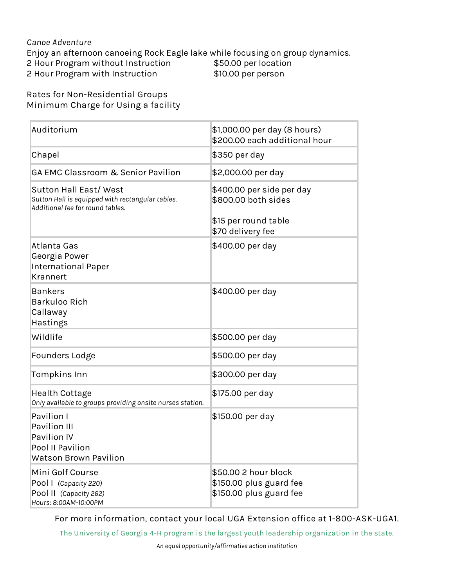## *Canoe Adventure* Enjoy an afternoon canoeing Rock Eagle lake while focusing on group dynamics. 2 Hour Program without Instruction \$50.00 per location 2 Hour Program with Instruction \$10.00 per person

**Rates for Non-Residential Groups Minimum Charge for Using a facility**

| Auditorium                                                                                                    | \$1,000.00 per day (8 hours)<br>\$200.00 each additional hour                                 |
|---------------------------------------------------------------------------------------------------------------|-----------------------------------------------------------------------------------------------|
| Chapel                                                                                                        | \$350 per day                                                                                 |
| GA EMC Classroom & Senior Pavilion                                                                            | \$2,000.00 per day                                                                            |
| Sutton Hall East/West<br>Sutton Hall is equipped with rectangular tables.<br>Additional fee for round tables. | \$400.00 per side per day<br>\$800.00 both sides<br>\$15 per round table<br>\$70 delivery fee |
| Atlanta Gas<br>Georgia Power<br><b>International Paper</b><br><b>Krannert</b>                                 | \$400.00 per day                                                                              |
| <b>Bankers</b><br>Barkuloo Rich<br>Callaway<br>Hastings                                                       | \$400.00 per day                                                                              |
| Wildlife                                                                                                      | \$500.00 per day                                                                              |
| Founders Lodge                                                                                                | \$500.00 per day                                                                              |
| Tompkins Inn                                                                                                  | \$300.00 per day                                                                              |
| Health Cottage<br>Only available to groups providing onsite nurses station.                                   | \$175.00 per day                                                                              |
| Pavilion I<br>Pavilion III<br>Pavilion IV<br>Pool II Pavilion<br><b>Watson Brown Pavilion</b>                 | \$150.00 per day                                                                              |
| Mini Golf Course<br>Pool I (Capacity 220)<br>Pool II (Capacity 262)<br>Hours: 8:00AM-10:00PM                  | \$50.00 2 hour block<br>\$150.00 plus guard fee<br>\$150.00 plus guard fee                    |

**For more information, contact your local UGA Extension office at 1-800-ASK-UGA1.**

**The University of Georgia 4-H program is the largest youth leadership organization in the state.**